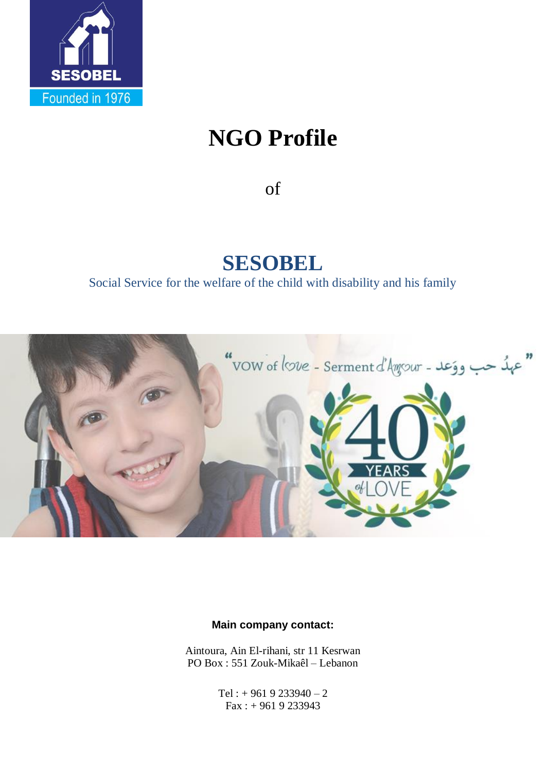

# **NGO Profile**

of

## **SESOBEL**

Social Service for the welfare of the child with disability and his family



#### **Main company contact:**

Aintoura, Ain El-rihani, str 11 Kesrwan PO Box : 551 Zouk-Mikaêl – Lebanon

> Tel :  $+9619233940 - 2$ Fax : + 961 9 233943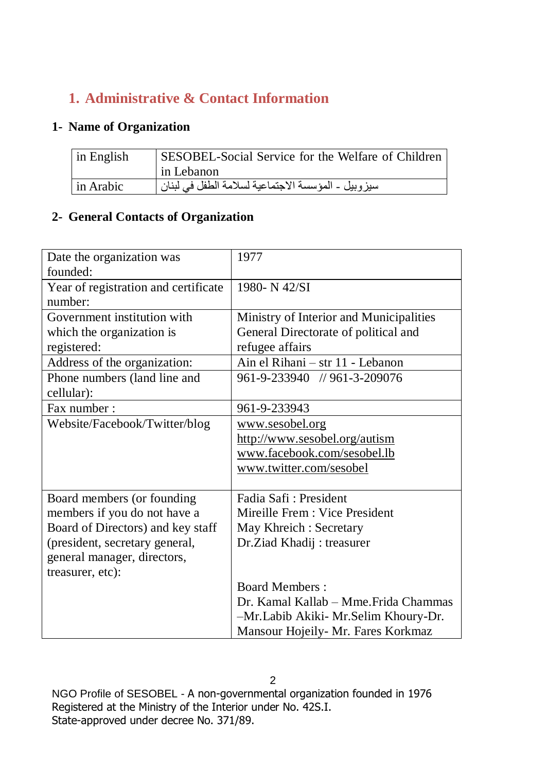## **1. Administrative & Contact Information**

## **1- Name of Organization**

| $\ln$ English | SESOBEL-Social Service for the Welfare of Children |
|---------------|----------------------------------------------------|
|               | in Lebanon                                         |
| l in Arabic   | سيزوبيل - المؤسسة الاجتماعية لسلامة الطفل في لبنان |

## **2- General Contacts of Organization**

| Date the organization was            | 1977                                    |
|--------------------------------------|-----------------------------------------|
| founded:                             |                                         |
| Year of registration and certificate | 1980-N 42/SI                            |
| number:                              |                                         |
| Government institution with          | Ministry of Interior and Municipalities |
| which the organization is            | General Directorate of political and    |
| registered:                          | refugee affairs                         |
| Address of the organization:         | Ain el Rihani - str 11 - Lebanon        |
| Phone numbers (land line and         | 961-9-233940 // 961-3-209076            |
| cellular):                           |                                         |
| Fax number:                          | 961-9-233943                            |
| Website/Facebook/Twitter/blog        | www.sesobel.org                         |
|                                      | http://www.sesobel.org/autism           |
|                                      | www.facebook.com/sesobel.lb             |
|                                      | www.twitter.com/sesobel                 |
|                                      |                                         |
| Board members (or founding           | Fadia Safi: President                   |
| members if you do not have a         | Mireille Frem : Vice President          |
| Board of Directors) and key staff    | May Khreich: Secretary                  |
| (president, secretary general,       | Dr.Ziad Khadij: treasurer               |
| general manager, directors,          |                                         |
| treasurer, etc):                     |                                         |
|                                      | <b>Board Members:</b>                   |
|                                      | Dr. Kamal Kallab – Mme. Frida Chammas   |
|                                      | -Mr.Labib Akiki- Mr.Selim Khoury-Dr.    |
|                                      | Mansour Hojeily- Mr. Fares Korkmaz      |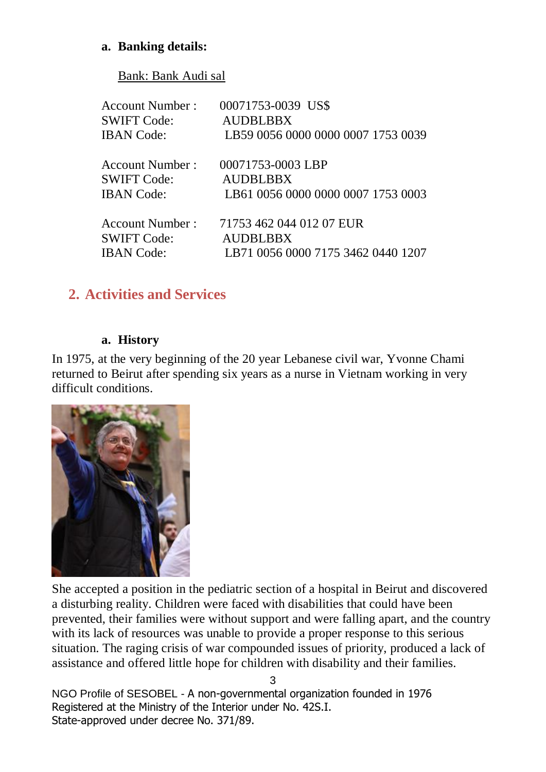## **a. Banking details:**

Bank: Bank Audi sal

| <b>Account Number:</b> | 00071753-0039 US\$                 |
|------------------------|------------------------------------|
| <b>SWIFT Code:</b>     | <b>AUDBLBBX</b>                    |
| <b>IBAN</b> Code:      | LB59 0056 0000 0000 0007 1753 0039 |
| <b>Account Number:</b> | 00071753-0003 LBP                  |
| <b>SWIFT Code:</b>     | <b>AUDBLBBX</b>                    |
| <b>IBAN</b> Code:      | LB61 0056 0000 0000 0007 1753 0003 |
| <b>Account Number:</b> | 71753 462 044 012 07 EUR           |
| <b>SWIFT Code:</b>     | <b>AUDBLBBX</b>                    |
| <b>IBAN</b> Code:      | LB71 0056 0000 7175 3462 0440 1207 |

## **2. Activities and Services**

#### **a. History**

In 1975, at the very beginning of the 20 year Lebanese civil war, Yvonne Chami returned to Beirut after spending six years as a nurse in Vietnam working in very difficult conditions.



She accepted a position in the pediatric section of a hospital in Beirut and discovered a disturbing reality. Children were faced with disabilities that could have been prevented, their families were without support and were falling apart, and the country with its lack of resources was unable to provide a proper response to this serious situation. The raging crisis of war compounded issues of priority, produced a lack of assistance and offered little hope for children with disability and their families.

NGO Profile of SESOBEL - A non-governmental organization founded in 1976 Registered at the Ministry of the Interior under No. 42S.I. State-approved under decree No. 371/89.

3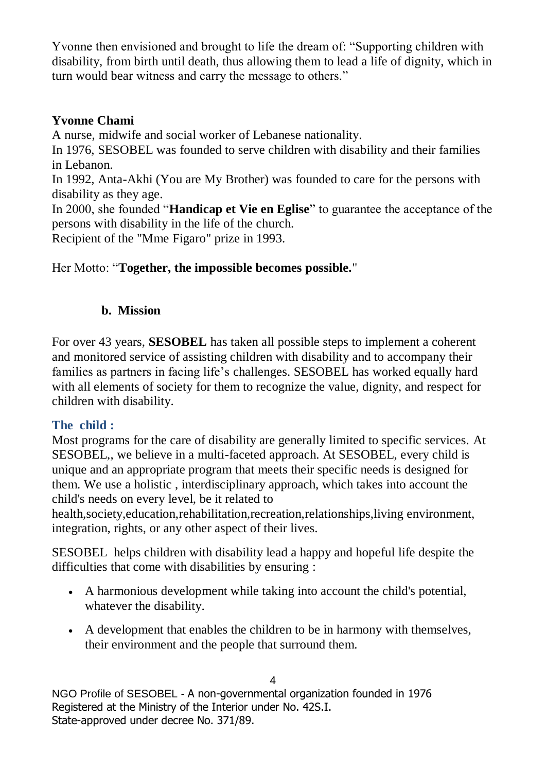Yvonne then envisioned and brought to life the dream of: "Supporting children with disability, from birth until death, thus allowing them to lead a life of dignity, which in turn would bear witness and carry the message to others."

## **Yvonne Chami**

A nurse, midwife and social worker of Lebanese nationality.

In 1976, SESOBEL was founded to serve children with disability and their families in Lebanon.

In 1992, Anta-Akhi (You are My Brother) was founded to care for the persons with disability as they age.

In 2000, she founded "**Handicap et Vie en Eglise**" to guarantee the acceptance of the persons with disability in the life of the church.

Recipient of the "Mme Figaro" prize in 1993.

#### Her Motto: "**Together, the impossible becomes possible.**"

#### **b. Mission**

For over 43 years, **SESOBEL** has taken all possible steps to implement a coherent and monitored service of assisting children with disability and to accompany their families as partners in facing life's challenges. SESOBEL has worked equally hard with all elements of society for them to recognize the value, dignity, and respect for children with disability.

## **The child :**

Most programs for the care of disability are generally limited to specific services. At SESOBEL,, we believe in a multi-faceted approach. At SESOBEL, every child is unique and an appropriate program that meets their specific needs is designed for them. We use a holistic , interdisciplinary approach, which takes into account the child's needs on every level, be it related to

health,society,education,rehabilitation,recreation,relationships,living environment, integration, rights, or any other aspect of their lives.

SESOBEL helps children with disability lead a happy and hopeful life despite the difficulties that come with disabilities by ensuring :

- A harmonious development while taking into account the child's potential, whatever the disability.
- A development that enables the children to be in harmony with themselves, their environment and the people that surround them.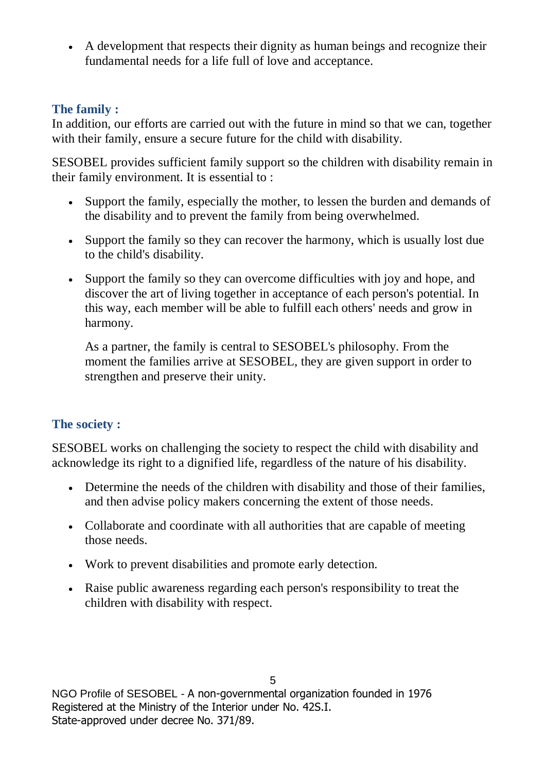A development that respects their dignity as human beings and recognize their fundamental needs for a life full of love and acceptance.

## **The family :**

In addition, our efforts are carried out with the future in mind so that we can, together with their family, ensure a secure future for the child with disability.

SESOBEL provides sufficient family support so the children with disability remain in their family environment. It is essential to :

- Support the family, especially the mother, to lessen the burden and demands of the disability and to prevent the family from being overwhelmed.
- Support the family so they can recover the harmony, which is usually lost due to the child's disability.
- Support the family so they can overcome difficulties with joy and hope, and discover the art of living together in acceptance of each person's potential. In this way, each member will be able to fulfill each others' needs and grow in harmony.

As a partner, the family is central to SESOBEL's philosophy. From the moment the families arrive at SESOBEL, they are given support in order to strengthen and preserve their unity.

## **The society :**

SESOBEL works on challenging the society to respect the child with disability and acknowledge its right to a dignified life, regardless of the nature of his disability.

- Determine the needs of the children with disability and those of their families, and then advise policy makers concerning the extent of those needs.
- Collaborate and coordinate with all authorities that are capable of meeting those needs.
- Work to prevent disabilities and promote early detection.
- Raise public awareness regarding each person's responsibility to treat the children with disability with respect.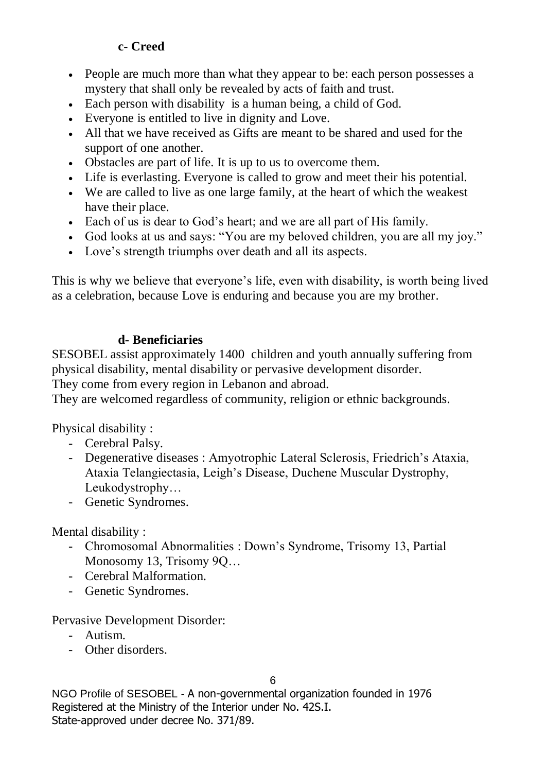## **c- Creed**

- People are much more than what they appear to be: each person possesses a mystery that shall only be revealed by acts of faith and trust.
- Each person with disability is a human being, a child of God.
- Everyone is entitled to live in dignity and Love.
- All that we have received as Gifts are meant to be shared and used for the support of one another.
- Obstacles are part of life. It is up to us to overcome them.
- Life is everlasting. Everyone is called to grow and meet their his potential.
- We are called to live as one large family, at the heart of which the weakest have their place.
- Each of us is dear to God's heart; and we are all part of His family.
- God looks at us and says: "You are my beloved children, you are all my joy."
- Love's strength triumphs over death and all its aspects.

This is why we believe that everyone's life, even with disability, is worth being lived as a celebration, because Love is enduring and because you are my brother.

## **d- Beneficiaries**

SESOBEL assist approximately 1400 children and youth annually suffering from physical disability, mental disability or pervasive development disorder.

They come from every region in Lebanon and abroad.

They are welcomed regardless of community, religion or ethnic backgrounds.

Physical disability :

- Cerebral Palsy.
- Degenerative diseases : Amyotrophic Lateral Sclerosis, Friedrich's Ataxia, Ataxia Telangiectasia, Leigh's Disease, Duchene Muscular Dystrophy, Leukodystrophy…
- Genetic Syndromes.

Mental disability :

- Chromosomal Abnormalities : Down's Syndrome, Trisomy 13, Partial Monosomy 13, Trisomy 9Q…
- Cerebral Malformation.
- Genetic Syndromes.

Pervasive Development Disorder:

- Autism.
- Other disorders.

6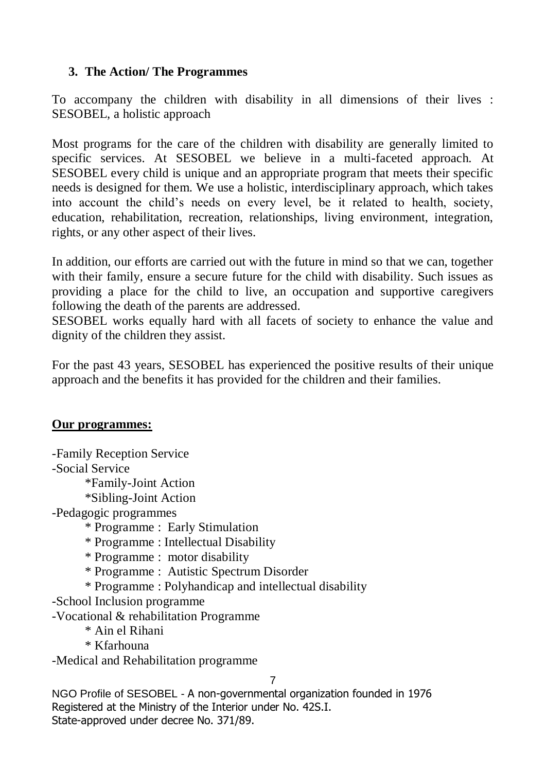## **3. The Action/ The Programmes**

To accompany the children with disability in all dimensions of their lives : SESOBEL, a holistic approach

Most programs for the care of the children with disability are generally limited to specific services. At SESOBEL we believe in a multi-faceted approach. At SESOBEL every child is unique and an appropriate program that meets their specific needs is designed for them. We use a holistic, interdisciplinary approach, which takes into account the child's needs on every level, be it related to health, society, education, rehabilitation, recreation, relationships, living environment, integration, rights, or any other aspect of their lives.

In addition, our efforts are carried out with the future in mind so that we can, together with their family, ensure a secure future for the child with disability. Such issues as providing a place for the child to live, an occupation and supportive caregivers following the death of the parents are addressed.

SESOBEL works equally hard with all facets of society to enhance the value and dignity of the children they assist.

For the past 43 years, SESOBEL has experienced the positive results of their unique approach and the benefits it has provided for the children and their families.

#### **Our programmes:**

7 -Family Reception Service -Social Service \*Family-Joint Action \*Sibling-Joint Action -Pedagogic programmes \* Programme : Early Stimulation \* Programme : Intellectual Disability \* Programme : motor disability \* Programme : Autistic Spectrum Disorder \* Programme : Polyhandicap and intellectual disability -School Inclusion programme -Vocational & rehabilitation Programme \* Ain el Rihani \* Kfarhouna -Medical and Rehabilitation programme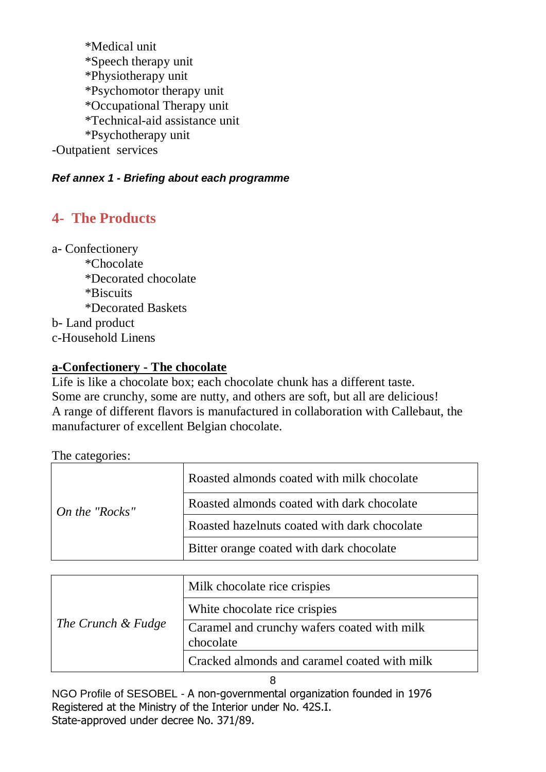\*Medical unit \*Speech therapy unit \*Physiotherapy unit \*Psychomotor therapy unit \*Occupational Therapy unit \*Technical-aid assistance unit \*Psychotherapy unit -Outpatient services

#### *Ref annex 1 - Briefing about each programme*

## **4- The Products**

a- Confectionery \*Chocolate \*Decorated chocolate \*Biscuits \*Decorated Baskets b- Land product c-Household Linens

#### **a-Confectionery - The chocolate**

Life is like a chocolate box; each chocolate chunk has a different taste. Some are crunchy, some are nutty, and others are soft, but all are delicious! A range of different flavors is manufactured in collaboration with Callebaut, the manufacturer of excellent Belgian chocolate.

#### The categories:

| $\Box$ On the "Rocks" | Roasted almonds coated with milk chocolate   |
|-----------------------|----------------------------------------------|
|                       | Roasted almonds coated with dark chocolate   |
|                       | Roasted hazelnuts coated with dark chocolate |
|                       | Bitter orange coated with dark chocolate     |

| The Crunch & Fudge | Milk chocolate rice crispies                             |
|--------------------|----------------------------------------------------------|
|                    | White chocolate rice crispies                            |
|                    | Caramel and crunchy wafers coated with milk<br>chocolate |
|                    | Cracked almonds and caramel coated with milk             |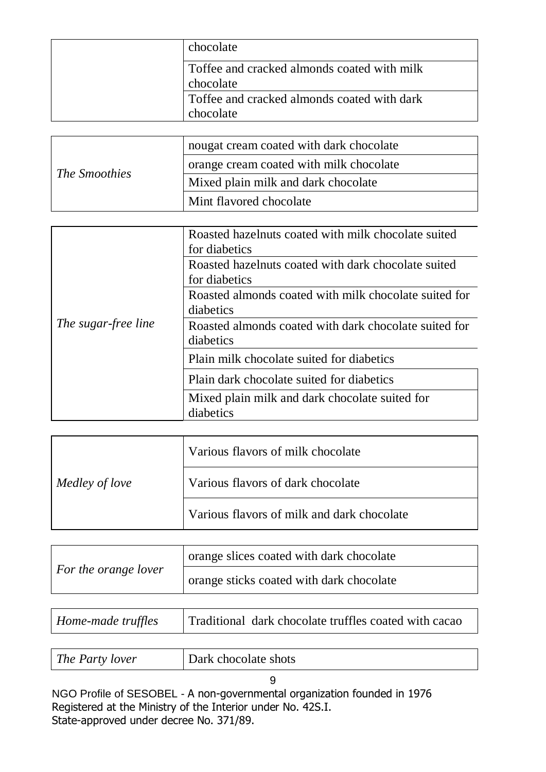| chocolate                                                |
|----------------------------------------------------------|
| Toffee and cracked almonds coated with milk<br>chocolate |
| Toffee and cracked almonds coated with dark<br>chocolate |

| <i>The Smoothies</i> | nougat cream coated with dark chocolate |
|----------------------|-----------------------------------------|
|                      | orange cream coated with milk chocolate |
|                      | Mixed plain milk and dark chocolate     |
|                      | Mint flavored chocolate                 |

|                     | Roasted hazelnuts coated with milk chocolate suited   |
|---------------------|-------------------------------------------------------|
|                     | for diabetics                                         |
|                     | Roasted hazelnuts coated with dark chocolate suited   |
|                     | for diabetics                                         |
|                     | Roasted almonds coated with milk chocolate suited for |
|                     | diabetics                                             |
| The sugar-free line | Roasted almonds coated with dark chocolate suited for |
|                     | diabetics                                             |
|                     | Plain milk chocolate suited for diabetics             |
|                     | Plain dark chocolate suited for diabetics             |
|                     | Mixed plain milk and dark chocolate suited for        |
|                     | diabetics                                             |
|                     |                                                       |

|                | Various flavors of milk chocolate          |
|----------------|--------------------------------------------|
| Medley of love | Various flavors of dark chocolate          |
|                | Various flavors of milk and dark chocolate |

|                      | orange slices coated with dark chocolate |
|----------------------|------------------------------------------|
| For the orange lover | orange sticks coated with dark chocolate |

| Home-made truffles | Traditional dark chocolate truffles coated with cacao |
|--------------------|-------------------------------------------------------|
|                    |                                                       |

|  | The Party lover | Dark chocolate shots |
|--|-----------------|----------------------|
|--|-----------------|----------------------|

9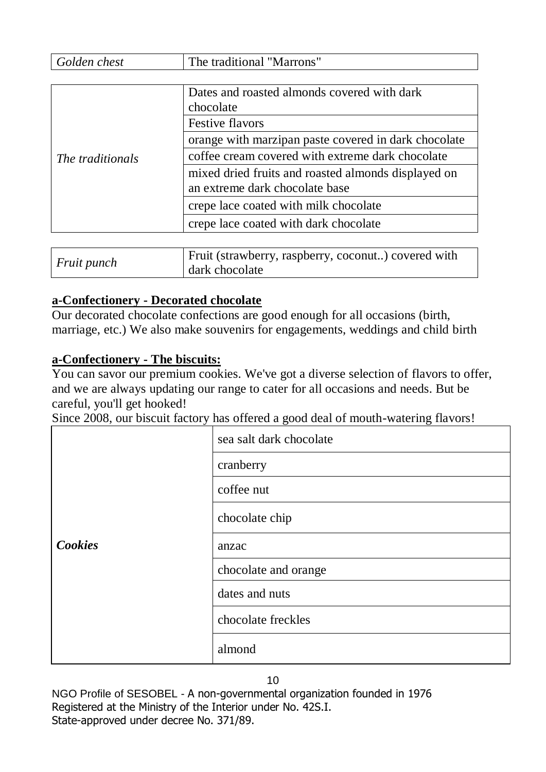| Golden chest     | The traditional "Marrons"                            |
|------------------|------------------------------------------------------|
|                  |                                                      |
| The traditionals | Dates and roasted almonds covered with dark          |
|                  | chocolate                                            |
|                  | Festive flavors                                      |
|                  | orange with marzipan paste covered in dark chocolate |
|                  | coffee cream covered with extreme dark chocolate     |
|                  | mixed dried fruits and roasted almonds displayed on  |
|                  | an extreme dark chocolate base                       |
|                  | crepe lace coated with milk chocolate                |
|                  | crepe lace coated with dark chocolate                |
|                  |                                                      |

| <i>Fruit punch</i> | Fruit (strawberry, raspberry, coconut) covered with |
|--------------------|-----------------------------------------------------|
|                    | dark chocolate                                      |

#### **a-Confectionery - Decorated chocolate**

Our decorated chocolate confections are good enough for all occasions (birth, marriage, etc.) We also make souvenirs for engagements, weddings and child birth

#### **a-Confectionery - The biscuits:**

You can savor our premium cookies. We've got a diverse selection of flavors to offer, and we are always updating our range to cater for all occasions and needs. But be careful, you'll get hooked!

Since 2008, our biscuit factory has offered a good deal of mouth-watering flavors!

|                | sea salt dark chocolate |
|----------------|-------------------------|
|                | cranberry               |
|                | coffee nut              |
|                | chocolate chip          |
| <b>Cookies</b> | anzac                   |
|                | chocolate and orange    |
|                | dates and nuts          |
|                | chocolate freckles      |
|                | almond                  |

10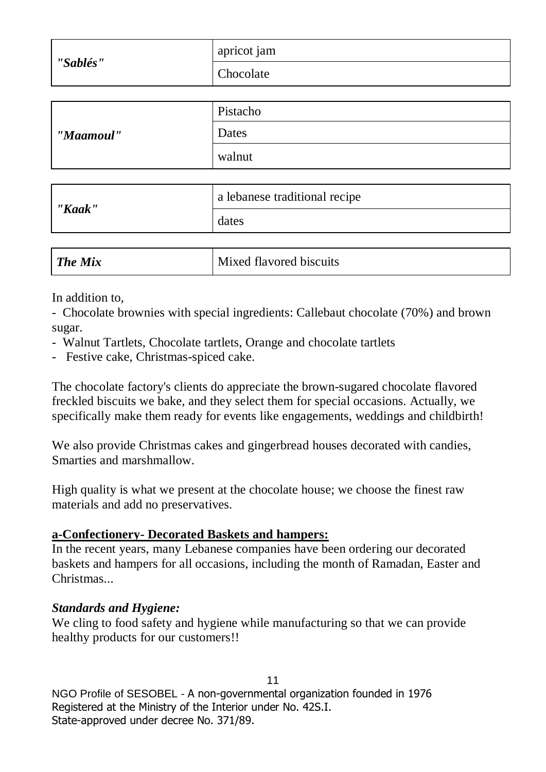|           | apricot jam                   |  |  |
|-----------|-------------------------------|--|--|
| "Sablés"  | Chocolate                     |  |  |
|           |                               |  |  |
|           | Pistacho                      |  |  |
| "Maamoul" | Dates                         |  |  |
|           | walnut                        |  |  |
|           |                               |  |  |
| "Kaak"    | a lebanese traditional recipe |  |  |
|           |                               |  |  |

| <b>The Mix</b> | Mixed flavored biscuits |
|----------------|-------------------------|
|                |                         |

In addition to,

- Chocolate brownies with special ingredients: Callebaut chocolate (70%) and brown sugar.

- Walnut Tartlets, Chocolate tartlets, Orange and chocolate tartlets

dates

- Festive cake, Christmas-spiced cake.

The chocolate factory's clients do appreciate the brown-sugared chocolate flavored freckled biscuits we bake, and they select them for special occasions. Actually, we specifically make them ready for events like engagements, weddings and childbirth!

We also provide Christmas cakes and gingerbread houses decorated with candies, Smarties and marshmallow.

High quality is what we present at the chocolate house; we choose the finest raw materials and add no preservatives.

#### **a-Confectionery- Decorated Baskets and hampers:**

In the recent years, many Lebanese companies have been ordering our decorated baskets and hampers for all occasions, including the month of Ramadan, Easter and Christmas...

#### *Standards and Hygiene:*

We cling to food safety and hygiene while manufacturing so that we can provide healthy products for our customers!!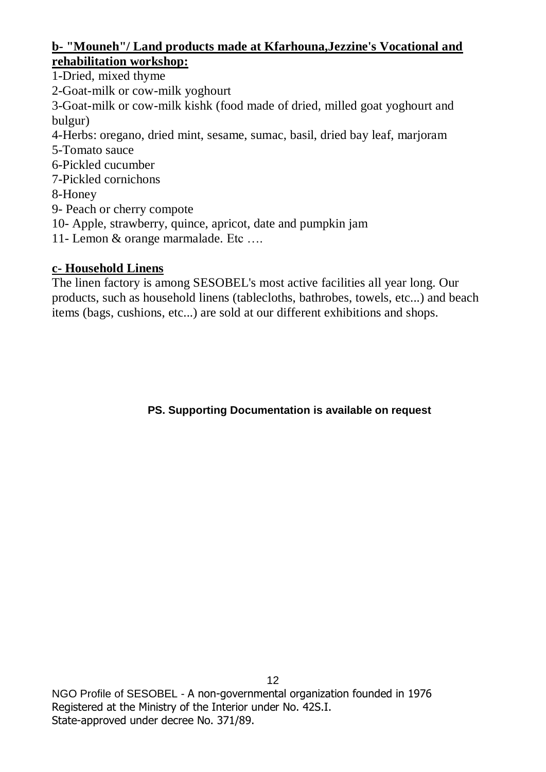#### **b- "Mouneh"/ Land products made at Kfarhouna,Jezzine's Vocational and rehabilitation workshop:**

- 1-Dried, mixed thyme
- 2-Goat-milk or cow-milk yoghourt
- 3-Goat-milk or cow-milk kishk (food made of dried, milled goat yoghourt and bulgur)
- 4-Herbs: oregano, dried mint, sesame, sumac, basil, dried bay leaf, marjoram
- 5-Tomato sauce
- 6-Pickled cucumber
- 7-Pickled cornichons
- 8-Honey
- 9- Peach or cherry compote
- 10- Apple, strawberry, quince, apricot, date and pumpkin jam
- 11- Lemon & orange marmalade. Etc ….

## **c- Household Linens**

The linen factory is among SESOBEL's most active facilities all year long. Our products, such as household linens (tablecloths, bathrobes, towels, etc...) and beach items (bags, cushions, etc...) are sold at our different exhibitions and shops.

**PS. Supporting Documentation is available on request**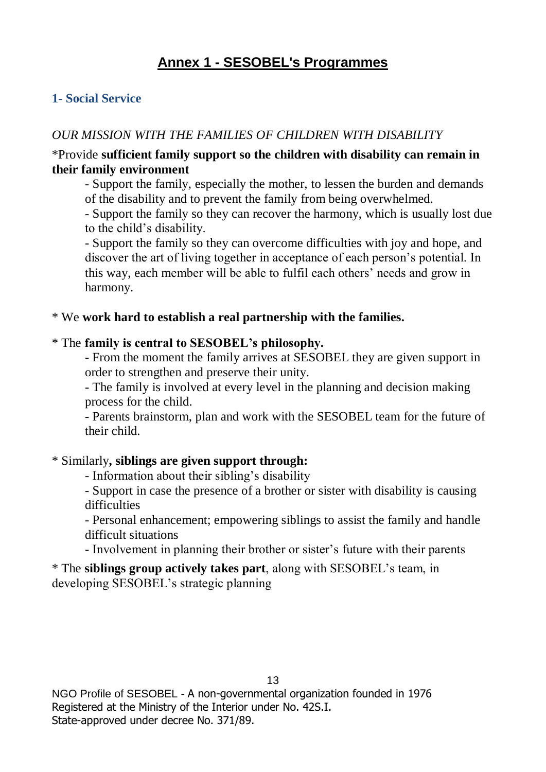## **Annex 1 - SESOBEL's Programmes**

#### **1- Social Service**

#### *OUR MISSION WITH THE FAMILIES OF CHILDREN WITH DISABILITY*

#### \*Provide **sufficient family support so the children with disability can remain in their family environment**

- Support the family, especially the mother, to lessen the burden and demands of the disability and to prevent the family from being overwhelmed.

- Support the family so they can recover the harmony, which is usually lost due to the child's disability.

- Support the family so they can overcome difficulties with joy and hope, and discover the art of living together in acceptance of each person's potential. In this way, each member will be able to fulfil each others' needs and grow in harmony.

#### \* We **work hard to establish a real partnership with the families.**

#### \* The **family is central to SESOBEL's philosophy.**

- From the moment the family arrives at SESOBEL they are given support in order to strengthen and preserve their unity.

- The family is involved at every level in the planning and decision making process for the child.

- Parents brainstorm, plan and work with the SESOBEL team for the future of their child.

#### \* Similarly**, siblings are given support through:**

- Information about their sibling's disability
- Support in case the presence of a brother or sister with disability is causing difficulties

- Personal enhancement; empowering siblings to assist the family and handle difficult situations

- Involvement in planning their brother or sister's future with their parents

\* The **siblings group actively takes part**, along with SESOBEL's team, in developing SESOBEL's strategic planning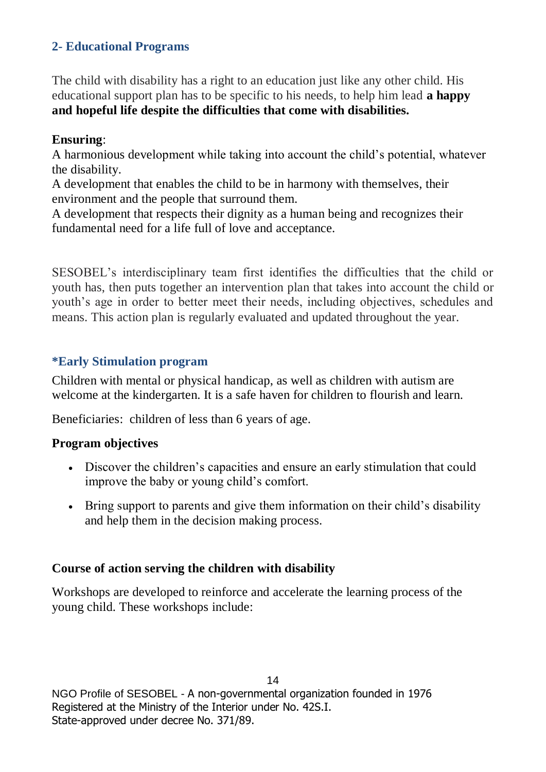## **2- Educational Programs**

The child with disability has a right to an education just like any other child. His educational support plan has to be specific to his needs, to help him lead **a happy and hopeful life despite the difficulties that come with disabilities.**

#### **Ensuring**:

A harmonious development while taking into account the child's potential, whatever the disability.

A development that enables the child to be in harmony with themselves, their environment and the people that surround them.

A development that respects their dignity as a human being and recognizes their fundamental need for a life full of love and acceptance.

SESOBEL's interdisciplinary team first identifies the difficulties that the child or youth has, then puts together an intervention plan that takes into account the child or youth's age in order to better meet their needs, including objectives, schedules and means. This action plan is regularly evaluated and updated throughout the year.

#### **\*Early Stimulation program**

Children with mental or physical handicap, as well as children with autism are welcome at the kindergarten. It is a safe haven for children to flourish and learn.

Beneficiaries: children of less than 6 years of age.

#### **Program objectives**

- Discover the children's capacities and ensure an early stimulation that could improve the baby or young child's comfort.
- Bring support to parents and give them information on their child's disability and help them in the decision making process.

## **Course of action serving the children with disability**

Workshops are developed to reinforce and accelerate the learning process of the young child. These workshops include: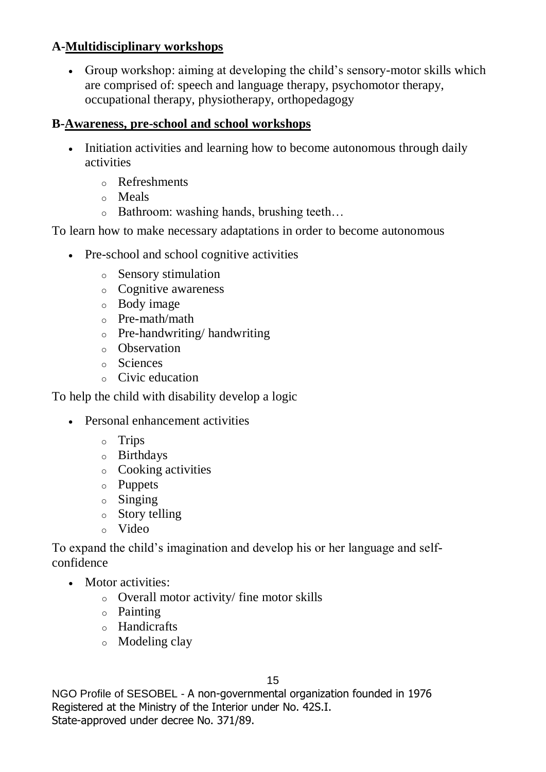## **A-Multidisciplinary workshops**

 Group workshop: aiming at developing the child's sensory-motor skills which are comprised of: speech and language therapy, psychomotor therapy, occupational therapy, physiotherapy, orthopedagogy

## **B-Awareness, pre-school and school workshops**

- Initiation activities and learning how to become autonomous through daily activities
	- o Refreshments
	- o Meals
	- o Bathroom: washing hands, brushing teeth…

To learn how to make necessary adaptations in order to become autonomous

- Pre-school and school cognitive activities
	- o Sensory stimulation
	- o Cognitive awareness
	- o Body image
	- o Pre-math/math
	- o Pre-handwriting/ handwriting
	- o Observation
	- o Sciences
	- o Civic education

To help the child with disability develop a logic

- Personal enhancement activities
	- o Trips
	- o Birthdays
	- o Cooking activities
	- o Puppets
	- o Singing
	- o Story telling
	- o Video

To expand the child's imagination and develop his or her language and selfconfidence

- Motor activities:
	- o Overall motor activity/ fine motor skills
	- o Painting
	- o Handicrafts
	- o Modeling clay

15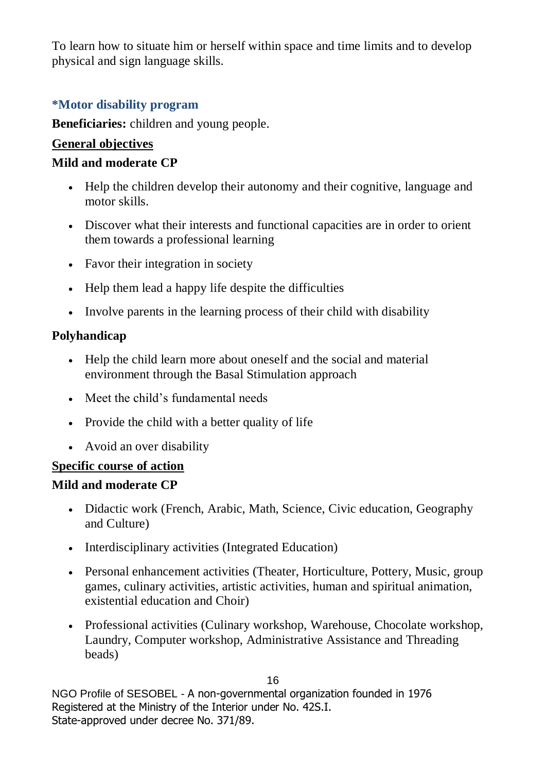To learn how to situate him or herself within space and time limits and to develop physical and sign language skills.

#### **\*Motor disability program**

**Beneficiaries:** children and young people.

#### **General objectives**

#### **Mild and moderate CP**

- Help the children develop their autonomy and their cognitive, language and motor skills.
- Discover what their interests and functional capacities are in order to orient them towards a professional learning
- Favor their integration in society
- Help them lead a happy life despite the difficulties
- Involve parents in the learning process of their child with disability

## **Polyhandicap**

- Help the child learn more about oneself and the social and material environment through the Basal Stimulation approach
- Meet the child's fundamental needs
- Provide the child with a better quality of life
- Avoid an over disability

## **Specific course of action**

## **Mild and moderate CP**

- Didactic work (French, Arabic, Math, Science, Civic education, Geography and Culture)
- Interdisciplinary activities (Integrated Education)
- Personal enhancement activities (Theater, Horticulture, Pottery, Music, group games, culinary activities, artistic activities, human and spiritual animation, existential education and Choir)
- Professional activities (Culinary workshop, Warehouse, Chocolate workshop, Laundry, Computer workshop, Administrative Assistance and Threading beads)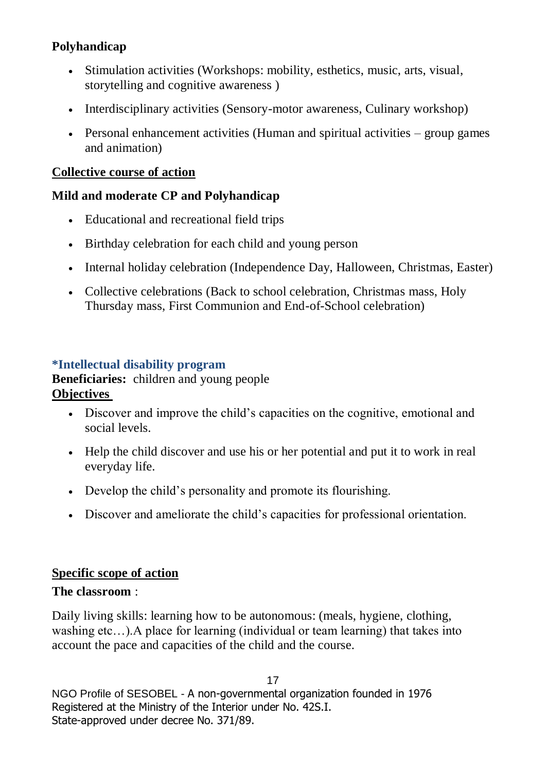## **Polyhandicap**

- Stimulation activities (Workshops: mobility, esthetics, music, arts, visual, storytelling and cognitive awareness )
- Interdisciplinary activities (Sensory-motor awareness, Culinary workshop)
- **•** Personal enhancement activities (Human and spiritual activities  $-$  group games and animation)

#### **Collective course of action**

#### **Mild and moderate CP and Polyhandicap**

- Educational and recreational field trips
- Birthday celebration for each child and young person
- Internal holiday celebration (Independence Day, Halloween, Christmas, Easter)
- Collective celebrations (Back to school celebration, Christmas mass, Holy Thursday mass, First Communion and End-of-School celebration)

#### **\*Intellectual disability program**

**Beneficiaries:** children and young people **Objectives**

- Discover and improve the child's capacities on the cognitive, emotional and social levels.
- Help the child discover and use his or her potential and put it to work in real everyday life.
- Develop the child's personality and promote its flourishing.
- Discover and ameliorate the child's capacities for professional orientation.

#### **Specific scope of action**

#### **The classroom** :

Daily living skills: learning how to be autonomous: (meals, hygiene, clothing, washing etc…).A place for learning (individual or team learning) that takes into account the pace and capacities of the child and the course.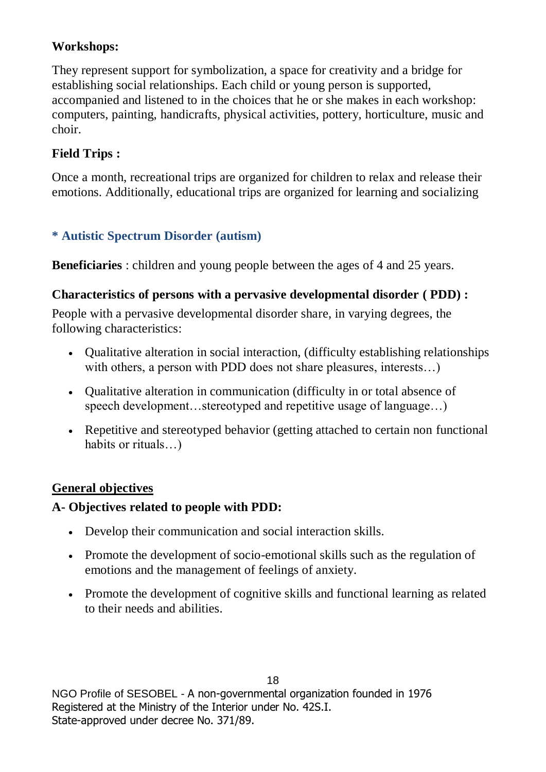## **Workshops:**

They represent support for symbolization, a space for creativity and a bridge for establishing social relationships. Each child or young person is supported, accompanied and listened to in the choices that he or she makes in each workshop: computers, painting, handicrafts, physical activities, pottery, horticulture, music and choir.

## **Field Trips :**

Once a month, recreational trips are organized for children to relax and release their emotions. Additionally, educational trips are organized for learning and socializing

## **\* Autistic Spectrum Disorder (autism)**

**Beneficiaries** : children and young people between the ages of 4 and 25 years.

## **Characteristics of persons with a pervasive developmental disorder ( PDD) :**

People with a pervasive developmental disorder share, in varying degrees, the following characteristics:

- Qualitative alteration in social interaction, (difficulty establishing relationships with others, a person with PDD does not share pleasures, interests...)
- Qualitative alteration in communication (difficulty in or total absence of speech development...stereotyped and repetitive usage of language...)
- Repetitive and stereotyped behavior (getting attached to certain non functional habits or rituals...)

## **General objectives**

## **A- Objectives related to people with PDD:**

- Develop their communication and social interaction skills.
- Promote the development of socio-emotional skills such as the regulation of emotions and the management of feelings of anxiety.
- Promote the development of cognitive skills and functional learning as related to their needs and abilities.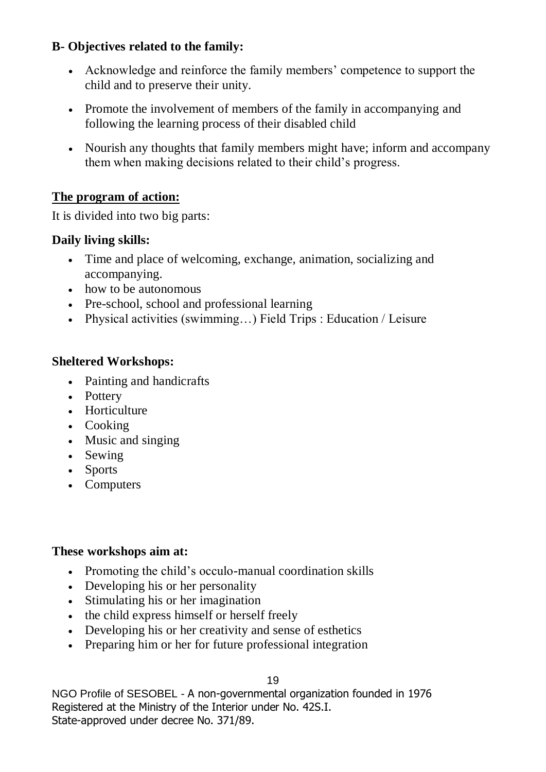## **B- Objectives related to the family:**

- Acknowledge and reinforce the family members' competence to support the child and to preserve their unity.
- Promote the involvement of members of the family in accompanying and following the learning process of their disabled child
- Nourish any thoughts that family members might have; inform and accompany them when making decisions related to their child's progress.

## **The program of action:**

It is divided into two big parts:

## **Daily living skills:**

- Time and place of welcoming, exchange, animation, socializing and accompanying.
- how to be autonomous
- Pre-school, school and professional learning
- Physical activities (swimming…) Field Trips : Education / Leisure

## **Sheltered Workshops:**

- Painting and handicrafts
- Pottery
- Horticulture
- Cooking
- Music and singing
- Sewing
- Sports
- Computers

#### **These workshops aim at:**

- Promoting the child's occulo-manual coordination skills
- Developing his or her personality
- Stimulating his or her imagination
- the child express himself or herself freely
- Developing his or her creativity and sense of esthetics
- Preparing him or her for future professional integration

19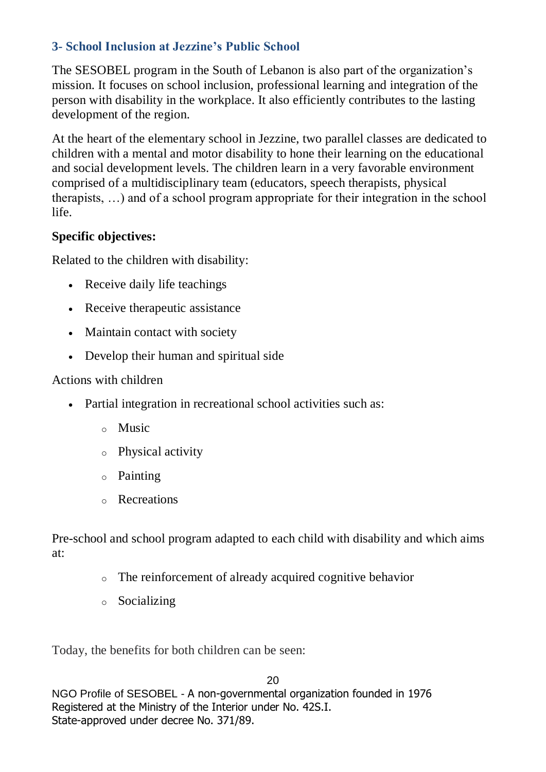## **3- School Inclusion at Jezzine's Public School**

The SESOBEL program in the South of Lebanon is also part of the organization's mission. It focuses on school inclusion, professional learning and integration of the person with disability in the workplace. It also efficiently contributes to the lasting development of the region.

At the heart of the elementary school in Jezzine, two parallel classes are dedicated to children with a mental and motor disability to hone their learning on the educational and social development levels. The children learn in a very favorable environment comprised of a multidisciplinary team (educators, speech therapists, physical therapists, …) and of a school program appropriate for their integration in the school life.

## **Specific objectives:**

Related to the children with disability:

- Receive daily life teachings
- Receive therapeutic assistance
- Maintain contact with society
- Develop their human and spiritual side

Actions with children

- Partial integration in recreational school activities such as:
	- o Music
	- o Physical activity
	- o Painting
	- o Recreations

Pre-school and school program adapted to each child with disability and which aims at:

- o The reinforcement of already acquired cognitive behavior
- o Socializing

Today, the benefits for both children can be seen: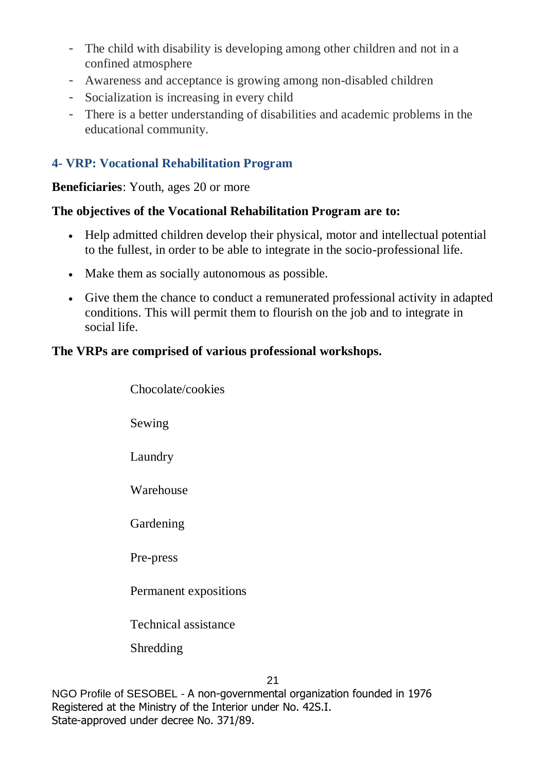- The child with disability is developing among other children and not in a confined atmosphere
- Awareness and acceptance is growing among non-disabled children
- Socialization is increasing in every child
- There is a better understanding of disabilities and academic problems in the educational community.

## **4- VRP: Vocational Rehabilitation Program**

#### **Beneficiaries**: Youth, ages 20 or more

#### **The objectives of the Vocational Rehabilitation Program are to:**

- Help admitted children develop their physical, motor and intellectual potential to the fullest, in order to be able to integrate in the socio-professional life.
- Make them as socially autonomous as possible.
- Give them the chance to conduct a remunerated professional activity in adapted conditions. This will permit them to flourish on the job and to integrate in social life.

#### **The VRPs are comprised of various professional workshops.**

| Chocolate/cookies                 |
|-----------------------------------|
| Sewing                            |
| Laundry                           |
| Warehouse                         |
| Gardening                         |
| Pre-press                         |
| Permanent expositions             |
| Technical assistance<br>Shredding |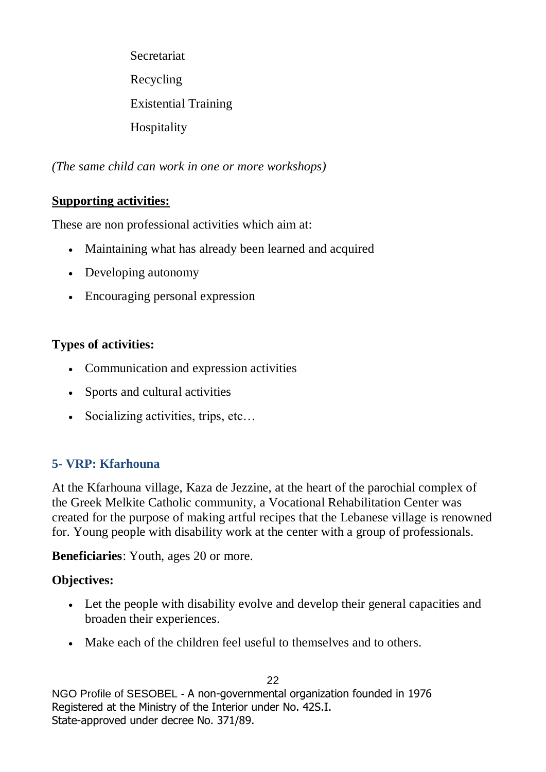Secretariat Recycling Existential Training Hospitality

*(The same child can work in one or more workshops)*

## **Supporting activities:**

These are non professional activities which aim at:

- Maintaining what has already been learned and acquired
- Developing autonomy
- Encouraging personal expression

## **Types of activities:**

- Communication and expression activities
- Sports and cultural activities
- Socializing activities, trips, etc…

## **5- VRP: Kfarhouna**

At the Kfarhouna village, Kaza de Jezzine, at the heart of the parochial complex of the Greek Melkite Catholic community, a Vocational Rehabilitation Center was created for the purpose of making artful recipes that the Lebanese village is renowned for. Young people with disability work at the center with a group of professionals.

**Beneficiaries**: Youth, ages 20 or more.

## **Objectives:**

- Let the people with disability evolve and develop their general capacities and broaden their experiences.
- Make each of the children feel useful to themselves and to others.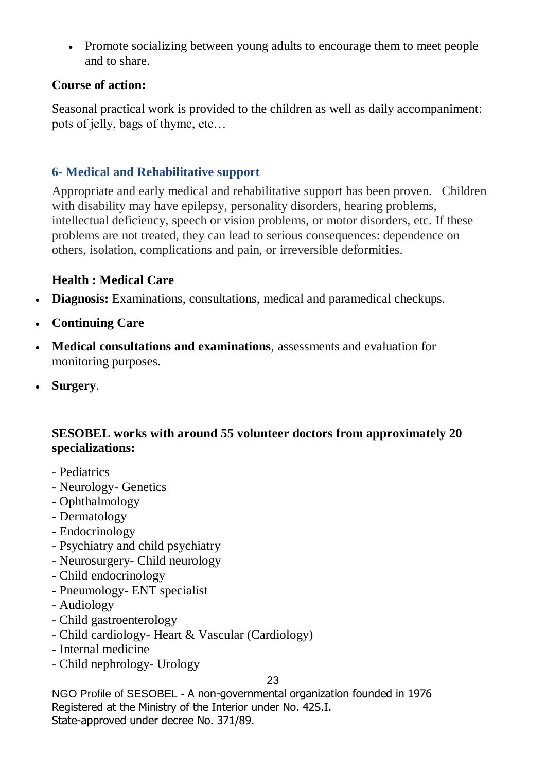• Promote socializing between young adults to encourage them to meet people and to share.

#### **Course of action:**

Seasonal practical work is provided to the children as well as daily accompaniment: pots of jelly, bags of thyme, etc…

## **6- Medical and Rehabilitative support**

Appropriate and early medical and rehabilitative support has been proven. Children with disability may have epilepsy, personality disorders, hearing problems, intellectual deficiency, speech or vision problems, or motor disorders, etc. If these problems are not treated, they can lead to serious consequences: dependence on others, isolation, complications and pain, or irreversible deformities.

## **Health : Medical Care**

- **Diagnosis:** Examinations, consultations, medical and paramedical checkups.
- **Continuing Care**
- **Medical consultations and examinations**, assessments and evaluation for monitoring purposes.
- **Surgery**.

## **SESOBEL works with around 55 volunteer doctors from approximately 20 specializations:**

- Pediatrics
- Neurology- Genetics
- Ophthalmology
- Dermatology
- Endocrinology
- Psychiatry and child psychiatry
- Neurosurgery- Child neurology
- Child endocrinology
- Pneumology- ENT specialist
- Audiology
- Child gastroenterology
- Child cardiology- Heart & Vascular (Cardiology)
- Internal medicine
- Child nephrology- Urology

23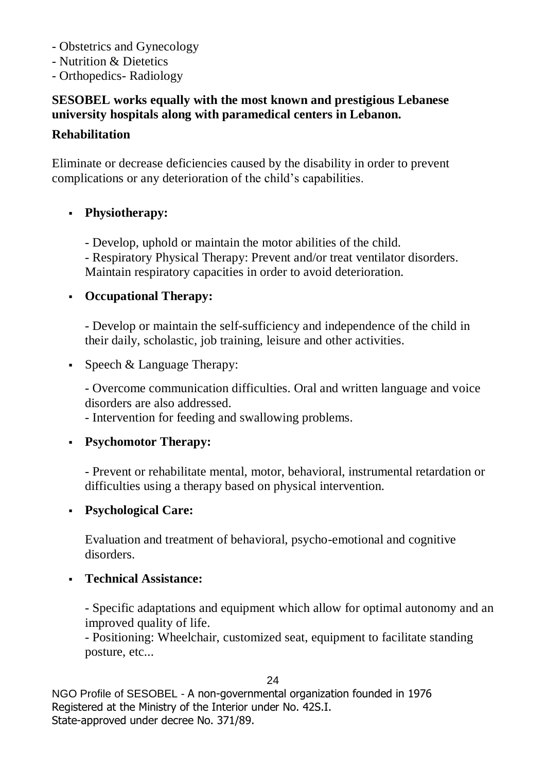- Obstetrics and Gynecology
- Nutrition & Dietetics
- Orthopedics- Radiology

## **SESOBEL works equally with the most known and prestigious Lebanese university hospitals along with paramedical centers in Lebanon.**

## **Rehabilitation**

Eliminate or decrease deficiencies caused by the disability in order to prevent complications or any deterioration of the child's capabilities.

## **Physiotherapy:**

- Develop, uphold or maintain the motor abilities of the child.

- Respiratory Physical Therapy: Prevent and/or treat ventilator disorders. Maintain respiratory capacities in order to avoid deterioration.

## **Occupational Therapy:**

- Develop or maintain the self-sufficiency and independence of the child in their daily, scholastic, job training, leisure and other activities.

Speech  $&$  Language Therapy:

- Overcome communication difficulties. Oral and written language and voice disorders are also addressed.

- Intervention for feeding and swallowing problems.

## **Psychomotor Therapy:**

- Prevent or rehabilitate mental, motor, behavioral, instrumental retardation or difficulties using a therapy based on physical intervention.

## **Psychological Care:**

Evaluation and treatment of behavioral, psycho-emotional and cognitive disorders.

## **Technical Assistance:**

- Specific adaptations and equipment which allow for optimal autonomy and an improved quality of life.

- Positioning: Wheelchair, customized seat, equipment to facilitate standing posture, etc...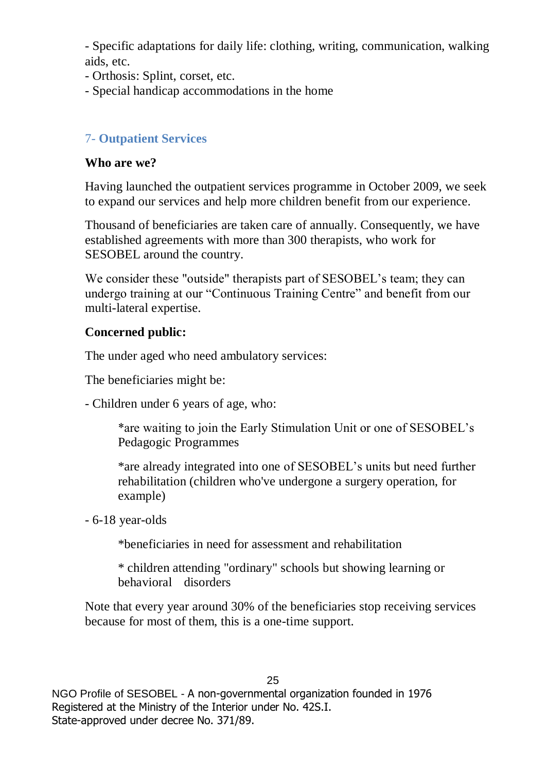- Specific adaptations for daily life: clothing, writing, communication, walking aids, etc.

- Orthosis: Splint, corset, etc.
- Special handicap accommodations in the home

## 7- **Outpatient Services**

#### **Who are we?**

Having launched the outpatient services programme in October 2009, we seek to expand our services and help more children benefit from our experience.

Thousand of beneficiaries are taken care of annually. Consequently, we have established agreements with more than 300 therapists, who work for SESOBEL around the country.

We consider these "outside" therapists part of SESOBEL's team; they can undergo training at our "Continuous Training Centre" and benefit from our multi-lateral expertise.

#### **Concerned public:**

The under aged who need ambulatory services:

The beneficiaries might be:

- Children under 6 years of age, who:

\*are waiting to join the Early Stimulation Unit or one of SESOBEL's Pedagogic Programmes

\*are already integrated into one of SESOBEL's units but need further rehabilitation (children who've undergone a surgery operation, for example)

- 6-18 year-olds

\*beneficiaries in need for assessment and rehabilitation

\* children attending "ordinary" schools but showing learning or behavioral disorders

Note that every year around 30% of the beneficiaries stop receiving services because for most of them, this is a one-time support.